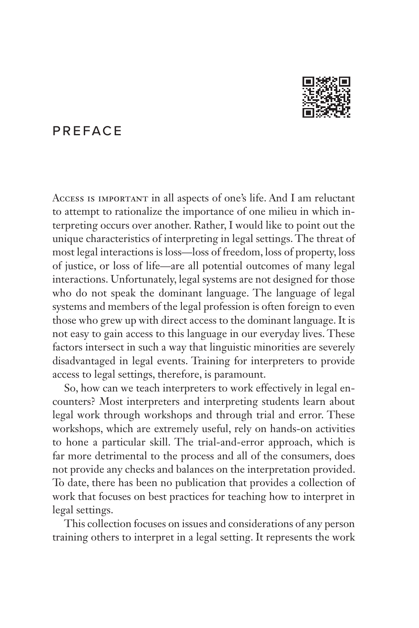

# PREFACE

Access is important in all aspects of one's life. And I am reluctant to attempt to rationalize the importance of one milieu in which interpreting occurs over another. Rather, I would like to point out the unique characteristics of interpreting in legal settings. The threat of most legal interactions is loss—loss of freedom, loss of property, loss of justice, or loss of life—are all potential outcomes of many legal interactions. Unfortunately, legal systems are not designed for those who do not speak the dominant language. The language of legal systems and members of the legal profession is often foreign to even those who grew up with direct access to the dominant language. It is not easy to gain access to this language in our everyday lives. These factors intersect in such a way that linguistic minorities are severely disadvantaged in legal events. Training for interpreters to provide access to legal settings, therefore, is paramount.

So, how can we teach interpreters to work effectively in legal encounters? Most interpreters and interpreting students learn about legal work through workshops and through trial and error. These workshops, which are extremely useful, rely on hands-on activities to hone a particular skill. The trial-and-error approach, which is far more detrimental to the process and all of the consumers, does not provide any checks and balances on the interpretation provided. To date, there has been no publication that provides a collection of work that focuses on best practices for teaching how to interpret in legal settings.

This collection focuses on issues and considerations of any person training others to interpret in a legal setting. It represents the work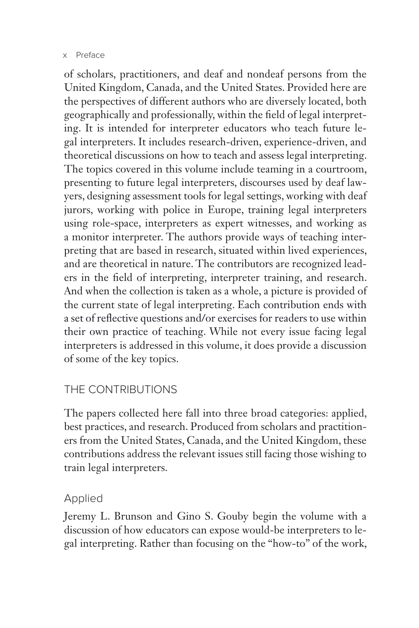#### x Preface

of scholars, practitioners, and deaf and nondeaf persons from the United Kingdom, Canada, and the United States. Provided here are the perspectives of different authors who are diversely located, both geographically and professionally, within the field of legal interpreting. It is intended for interpreter educators who teach future legal interpreters. It includes research-driven, experience-driven, and theoretical discussions on how to teach and assess legal interpreting. The topics covered in this volume include teaming in a courtroom, presenting to future legal interpreters, discourses used by deaf lawyers, designing assessment tools for legal settings, working with deaf jurors, working with police in Europe, training legal interpreters using role-space, interpreters as expert witnesses, and working as a monitor interpreter. The authors provide ways of teaching interpreting that are based in research, situated within lived experiences, and are theoretical in nature. The contributors are recognized leaders in the field of interpreting, interpreter training, and research. And when the collection is taken as a whole, a picture is provided of the current state of legal interpreting. Each contribution ends with a set of reflective questions and/or exercises for readers to use within their own practice of teaching. While not every issue facing legal interpreters is addressed in this volume, it does provide a discussion of some of the key topics.

# THE CONTRIBUTIONS

The papers collected here fall into three broad categories: applied, best practices, and research. Produced from scholars and practitioners from the United States, Canada, and the United Kingdom, these contributions address the relevant issues still facing those wishing to train legal interpreters.

## Applied

Jeremy L. Brunson and Gino S. Gouby begin the volume with a discussion of how educators can expose would-be interpreters to legal interpreting. Rather than focusing on the "how-to" of the work,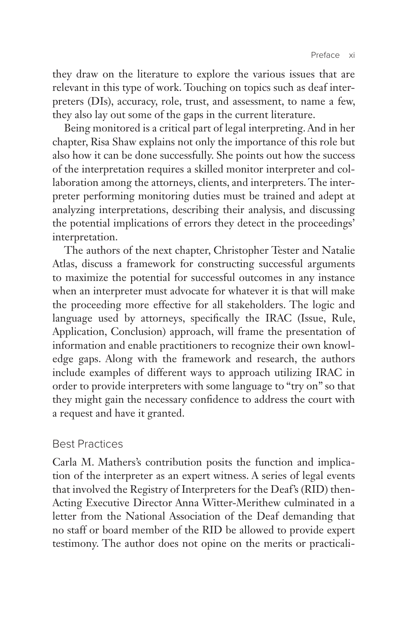they draw on the literature to explore the various issues that are relevant in this type of work. Touching on topics such as deaf interpreters (DIs), accuracy, role, trust, and assessment, to name a few, they also lay out some of the gaps in the current literature.

Being monitored is a critical part of legal interpreting. And in her chapter, Risa Shaw explains not only the importance of this role but also how it can be done successfully. She points out how the success of the interpretation requires a skilled monitor interpreter and collaboration among the attorneys, clients, and interpreters. The interpreter performing monitoring duties must be trained and adept at analyzing interpretations, describing their analysis, and discussing the potential implications of errors they detect in the proceedings' interpretation.

The authors of the next chapter, Christopher Tester and Natalie Atlas, discuss a framework for constructing successful arguments to maximize the potential for successful outcomes in any instance when an interpreter must advocate for whatever it is that will make the proceeding more effective for all stakeholders. The logic and language used by attorneys, specifically the IRAC (Issue, Rule, Application, Conclusion) approach, will frame the presentation of information and enable practitioners to recognize their own knowledge gaps. Along with the framework and research, the authors include examples of different ways to approach utilizing IRAC in order to provide interpreters with some language to "try on" so that they might gain the necessary confidence to address the court with a request and have it granted.

### Best Practices

Carla M. Mathers's contribution posits the function and implication of the interpreter as an expert witness. A series of legal events that involved the Registry of Interpreters for the Deaf's (RID) then-Acting Executive Director Anna Witter-Merithew culminated in a letter from the National Association of the Deaf demanding that no staff or board member of the RID be allowed to provide expert testimony. The author does not opine on the merits or practicali-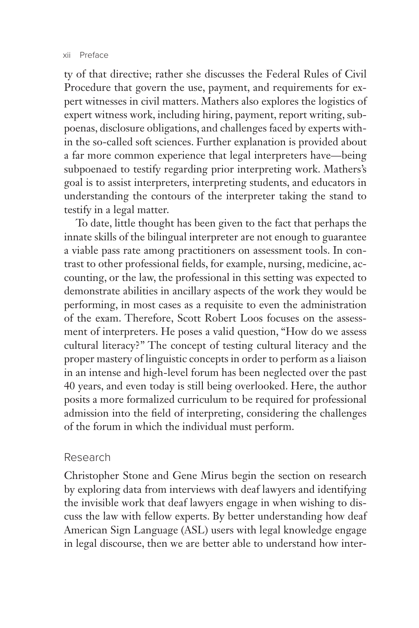ty of that directive; rather she discusses the Federal Rules of Civil Procedure that govern the use, payment, and requirements for expert witnesses in civil matters. Mathers also explores the logistics of expert witness work, including hiring, payment, report writing, subpoenas, disclosure obligations, and challenges faced by experts within the so-called soft sciences. Further explanation is provided about a far more common experience that legal interpreters have—being subpoenaed to testify regarding prior interpreting work. Mathers's goal is to assist interpreters, interpreting students, and educators in understanding the contours of the interpreter taking the stand to testify in a legal matter.

To date, little thought has been given to the fact that perhaps the innate skills of the bilingual interpreter are not enough to guarantee a viable pass rate among practitioners on assessment tools. In contrast to other professional fields, for example, nursing, medicine, accounting, or the law, the professional in this setting was expected to demonstrate abilities in ancillary aspects of the work they would be performing, in most cases as a requisite to even the administration of the exam. Therefore, Scott Robert Loos focuses on the assessment of interpreters. He poses a valid question, "How do we assess cultural literacy?" The concept of testing cultural literacy and the proper mastery of linguistic concepts in order to perform as a liaison in an intense and high-level forum has been neglected over the past 40 years, and even today is still being overlooked. Here, the author posits a more formalized curriculum to be required for professional admission into the field of interpreting, considering the challenges of the forum in which the individual must perform.

### Research

Christopher Stone and Gene Mirus begin the section on research by exploring data from interviews with deaf lawyers and identifying the invisible work that deaf lawyers engage in when wishing to discuss the law with fellow experts. By better understanding how deaf American Sign Language (ASL) users with legal knowledge engage in legal discourse, then we are better able to understand how inter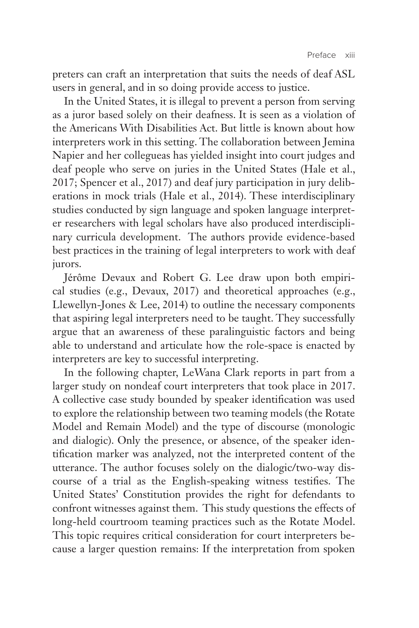preters can craft an interpretation that suits the needs of deaf ASL users in general, and in so doing provide access to justice.

In the United States, it is illegal to prevent a person from serving as a juror based solely on their deafness. It is seen as a violation of the Americans With Disabilities Act. But little is known about how interpreters work in this setting. The collaboration between Jemina Napier and her collegueas has yielded insight into court judges and deaf people who serve on juries in the United States (Hale et al., 2017; Spencer et al., 2017) and deaf jury participation in jury deliberations in mock trials (Hale et al., 2014). These interdisciplinary studies conducted by sign language and spoken language interpreter researchers with legal scholars have also produced interdisciplinary curricula development. The authors provide evidence-based best practices in the training of legal interpreters to work with deaf jurors.

Jérôme Devaux and Robert G. Lee draw upon both empirical studies (e.g., Devaux, 2017) and theoretical approaches (e.g., Llewellyn-Jones & Lee, 2014) to outline the necessary components that aspiring legal interpreters need to be taught. They successfully argue that an awareness of these paralinguistic factors and being able to understand and articulate how the role-space is enacted by interpreters are key to successful interpreting.

In the following chapter, LeWana Clark reports in part from a larger study on nondeaf court interpreters that took place in 2017. A collective case study bounded by speaker identification was used to explore the relationship between two teaming models (the Rotate Model and Remain Model) and the type of discourse (monologic and dialogic). Only the presence, or absence, of the speaker identification marker was analyzed, not the interpreted content of the utterance. The author focuses solely on the dialogic/two-way discourse of a trial as the English-speaking witness testifies. The United States' Constitution provides the right for defendants to confront witnesses against them. This study questions the effects of long-held courtroom teaming practices such as the Rotate Model. This topic requires critical consideration for court interpreters because a larger question remains: If the interpretation from spoken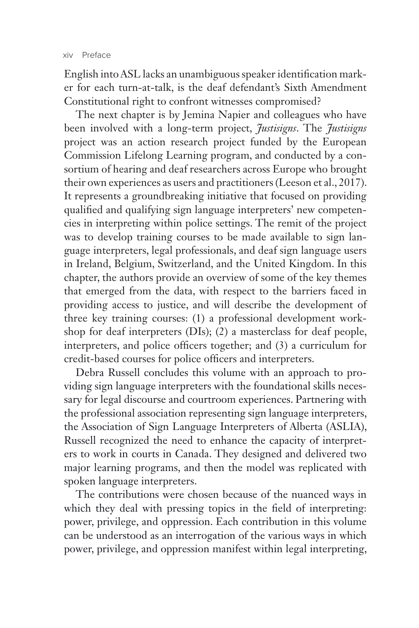English into ASL lacks an unambiguous speaker identification marker for each turn-at-talk, is the deaf defendant's Sixth Amendment Constitutional right to confront witnesses compromised?

The next chapter is by Jemina Napier and colleagues who have been involved with a long-term project, *Justisigns*. The *Justisigns* project was an action research project funded by the European Commission Lifelong Learning program, and conducted by a consortium of hearing and deaf researchers across Europe who brought their own experiences as users and practitioners (Leeson et al., 2017). It represents a groundbreaking initiative that focused on providing qualified and qualifying sign language interpreters' new competencies in interpreting within police settings. The remit of the project was to develop training courses to be made available to sign language interpreters, legal professionals, and deaf sign language users in Ireland, Belgium, Switzerland, and the United Kingdom. In this chapter, the authors provide an overview of some of the key themes that emerged from the data, with respect to the barriers faced in providing access to justice, and will describe the development of three key training courses: (1) a professional development workshop for deaf interpreters (DIs); (2) a masterclass for deaf people, interpreters, and police officers together; and (3) a curriculum for credit-based courses for police officers and interpreters.

Debra Russell concludes this volume with an approach to providing sign language interpreters with the foundational skills necessary for legal discourse and courtroom experiences. Partnering with the professional association representing sign language interpreters, the Association of Sign Language Interpreters of Alberta (ASLIA), Russell recognized the need to enhance the capacity of interpreters to work in courts in Canada. They designed and delivered two major learning programs, and then the model was replicated with spoken language interpreters.

The contributions were chosen because of the nuanced ways in which they deal with pressing topics in the field of interpreting: power, privilege, and oppression. Each contribution in this volume can be understood as an interrogation of the various ways in which power, privilege, and oppression manifest within legal interpreting,